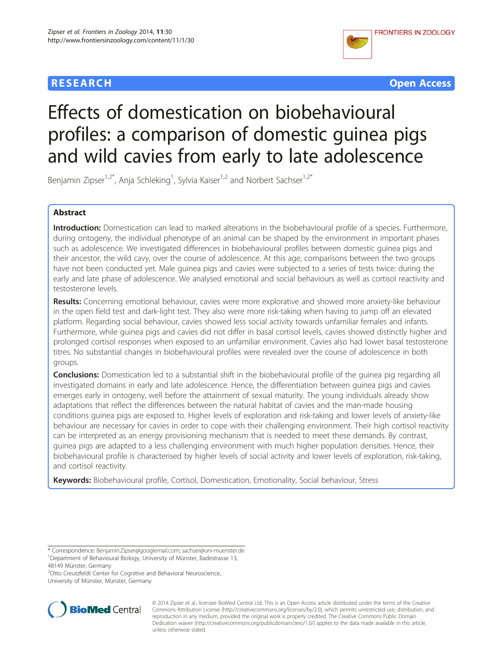

**RESEARCH CHEAR CHEAR CHEAR CHEAR CHEAR CHEAR CHEAR CHEAR CHEAR CHEAR CHEAR CHEAR CHEAR CHEAR CHEAR CHEAR CHEAR** 

# Effects of domestication on biobehavioural profiles: a comparison of domestic guinea pigs and wild cavies from early to late adolescence

Benjamin Zipser<sup>1,2\*</sup>, Anja Schleking<sup>1</sup>, Sylvia Kaiser<sup>1,2</sup> and Norbert Sachser<sup>1,2\*</sup>

# Abstract

Introduction: Domestication can lead to marked alterations in the biobehavioural profile of a species. Furthermore, during ontogeny, the individual phenotype of an animal can be shaped by the environment in important phases such as adolescence. We investigated differences in biobehavioural profiles between domestic guinea pigs and their ancestor, the wild cavy, over the course of adolescence. At this age, comparisons between the two groups have not been conducted yet. Male guinea pigs and cavies were subjected to a series of tests twice: during the early and late phase of adolescence. We analysed emotional and social behaviours as well as cortisol reactivity and testosterone levels.

Results: Concerning emotional behaviour, cavies were more explorative and showed more anxiety-like behaviour in the open field test and dark-light test. They also were more risk-taking when having to jump off an elevated platform. Regarding social behaviour, cavies showed less social activity towards unfamiliar females and infants. Furthermore, while guinea pigs and cavies did not differ in basal cortisol levels, cavies showed distinctly higher and prolonged cortisol responses when exposed to an unfamiliar environment. Cavies also had lower basal testosterone titres. No substantial changes in biobehavioural profiles were revealed over the course of adolescence in both groups.

**Conclusions:** Domestication led to a substantial shift in the biobehavioural profile of the quinea pig regarding all investigated domains in early and late adolescence. Hence, the differentiation between guinea pigs and cavies emerges early in ontogeny, well before the attainment of sexual maturity. The young individuals already show adaptations that reflect the differences between the natural habitat of cavies and the man-made housing conditions guinea pigs are exposed to. Higher levels of exploration and risk-taking and lower levels of anxiety-like behaviour are necessary for cavies in order to cope with their challenging environment. Their high cortisol reactivity can be interpreted as an energy provisioning mechanism that is needed to meet these demands. By contrast, guinea pigs are adapted to a less challenging environment with much higher population densities. Hence, their biobehavioural profile is characterised by higher levels of social activity and lower levels of exploration, risk-taking, and cortisol reactivity.

Keywords: Biobehavioural profile, Cortisol, Domestication, Emotionality, Social behaviour, Stress

<sup>2</sup>Otto Creutzfeldt Center for Cognitive and Behavioral Neuroscience, University of Münster, Münster, Germany



© 2014 Zipser et al.; licensee BioMed Central Ltd. This is an Open Access article distributed under the terms of the Creative Commons Attribution License [\(http://creativecommons.org/licenses/by/2.0\)](http://creativecommons.org/licenses/by/2.0), which permits unrestricted use, distribution, and reproduction in any medium, provided the original work is properly credited. The Creative Commons Public Domain Dedication waiver [\(http://creativecommons.org/publicdomain/zero/1.0/](http://creativecommons.org/publicdomain/zero/1.0/)) applies to the data made available in this article, unless otherwise stated.

<sup>\*</sup> Correspondence: [Benjamin.Zipser@googlemail.com](mailto:Benjamin.Zipser@googlemail.com); [sachser@uni-muenster.de](mailto:sachser@uni-muenster.de) <sup>1</sup> <sup>1</sup>Department of Behavioural Biology, University of Münster, Badestrasse 13, 48149 Münster, Germany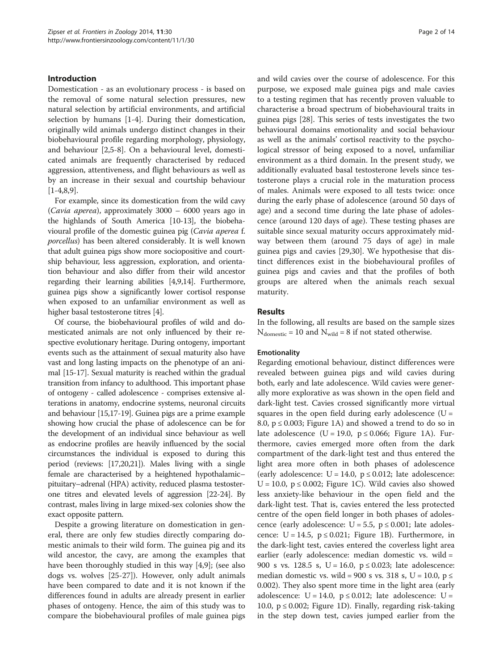## <span id="page-1-0"></span>Introduction

Domestication - as an evolutionary process - is based on the removal of some natural selection pressures, new natural selection by artificial environments, and artificial selection by humans [[1-4](#page-12-0)]. During their domestication, originally wild animals undergo distinct changes in their biobehavioural profile regarding morphology, physiology, and behaviour [\[2,5](#page-12-0)-[8\]](#page-12-0). On a behavioural level, domesticated animals are frequently characterised by reduced aggression, attentiveness, and flight behaviours as well as by an increase in their sexual and courtship behaviour  $[1-4,8,9]$  $[1-4,8,9]$  $[1-4,8,9]$ .

For example, since its domestication from the wild cavy (Cavia aperea), approximately 3000 – 6000 years ago in the highlands of South America [\[10-13\]](#page-12-0), the biobehavioural profile of the domestic guinea pig (Cavia aperea f. porcellus) has been altered considerably. It is well known that adult guinea pigs show more sociopositive and courtship behaviour, less aggression, exploration, and orientation behaviour and also differ from their wild ancestor regarding their learning abilities [\[4,9,14](#page-12-0)]. Furthermore, guinea pigs show a significantly lower cortisol response when exposed to an unfamiliar environment as well as higher basal testosterone titres [\[4](#page-12-0)].

Of course, the biobehavioural profiles of wild and domesticated animals are not only influenced by their respective evolutionary heritage. During ontogeny, important events such as the attainment of sexual maturity also have vast and long lasting impacts on the phenotype of an animal [[15](#page-12-0)-[17](#page-12-0)]. Sexual maturity is reached within the gradual transition from infancy to adulthood. This important phase of ontogeny - called adolescence - comprises extensive alterations in anatomy, endocrine systems, neuronal circuits and behaviour [[15,17-19\]](#page-12-0). Guinea pigs are a prime example showing how crucial the phase of adolescence can be for the development of an individual since behaviour as well as endocrine profiles are heavily influenced by the social circumstances the individual is exposed to during this period (reviews: [\[17,20,21\]](#page-12-0)). Males living with a single female are characterised by a heightened hypothalamic– pituitary–adrenal (HPA) activity, reduced plasma testosterone titres and elevated levels of aggression [[22](#page-12-0)-[24](#page-12-0)]. By contrast, males living in large mixed-sex colonies show the exact opposite pattern.

Despite a growing literature on domestication in general, there are only few studies directly comparing domestic animals to their wild form. The guinea pig and its wild ancestor, the cavy, are among the examples that have been thoroughly studied in this way [[4,9\]](#page-12-0); (see also dogs vs. wolves [\[25](#page-12-0)-[27\]](#page-12-0)). However, only adult animals have been compared to date and it is not known if the differences found in adults are already present in earlier phases of ontogeny. Hence, the aim of this study was to compare the biobehavioural profiles of male guinea pigs and wild cavies over the course of adolescence. For this purpose, we exposed male guinea pigs and male cavies to a testing regimen that has recently proven valuable to characterise a broad spectrum of biobehavioural traits in guinea pigs [[28\]](#page-12-0). This series of tests investigates the two behavioural domains emotionality and social behaviour as well as the animals' cortisol reactivity to the psychological stressor of being exposed to a novel, unfamiliar environment as a third domain. In the present study, we additionally evaluated basal testosterone levels since testosterone plays a crucial role in the maturation process of males. Animals were exposed to all tests twice: once during the early phase of adolescence (around 50 days of age) and a second time during the late phase of adolescence (around 120 days of age). These testing phases are suitable since sexual maturity occurs approximately midway between them (around 75 days of age) in male guinea pigs and cavies [\[29,30\]](#page-12-0). We hypothesise that distinct differences exist in the biobehavioural profiles of guinea pigs and cavies and that the profiles of both groups are altered when the animals reach sexual maturity.

# Results

In the following, all results are based on the sample sizes  $N_{domestic} = 10$  and  $N_{wild} = 8$  if not stated otherwise.

#### **Emotionality**

Regarding emotional behaviour, distinct differences were revealed between guinea pigs and wild cavies during both, early and late adolescence. Wild cavies were generally more explorative as was shown in the open field and dark-light test. Cavies crossed significantly more virtual squares in the open field during early adolescence  $(U =$ 8.0,  $p \le 0.003$ ; Figure [1A](#page-2-0)) and showed a trend to do so in late adolescence (U = [1](#page-2-0)9.0,  $p \le 0.066$ ; Figure 1A). Furthermore, cavies emerged more often from the dark compartment of the dark-light test and thus entered the light area more often in both phases of adolescence (early adolescence:  $U = 14.0$ ,  $p \le 0.012$ ; late adolescence: U = 10.0,  $p \le 0.002$ ; Figure [1C](#page-2-0)). Wild cavies also showed less anxiety-like behaviour in the open field and the dark-light test. That is, cavies entered the less protected centre of the open field longer in both phases of adolescence (early adolescence:  $U = 5.5$ ,  $p \le 0.001$ ; late adolescence:  $U = 14.5$  $U = 14.5$  $U = 14.5$ ,  $p \le 0.021$ ; Figure 1B). Furthermore, in the dark-light test, cavies entered the coverless light area earlier (early adolescence: median domestic vs. wild = 900 s vs. 128.5 s, U = 16.0,  $p \le 0.023$ ; late adolescence: median domestic vs. wild = 900 s vs. 318 s, U = 10.0,  $p \le$ 0.002). They also spent more time in the light area (early adolescence:  $U = 14.0$ ,  $p \le 0.012$ ; late adolescence:  $U =$ 10.0,  $p \le 0.002$ ; Figure [1D](#page-2-0)). Finally, regarding risk-taking in the step down test, cavies jumped earlier from the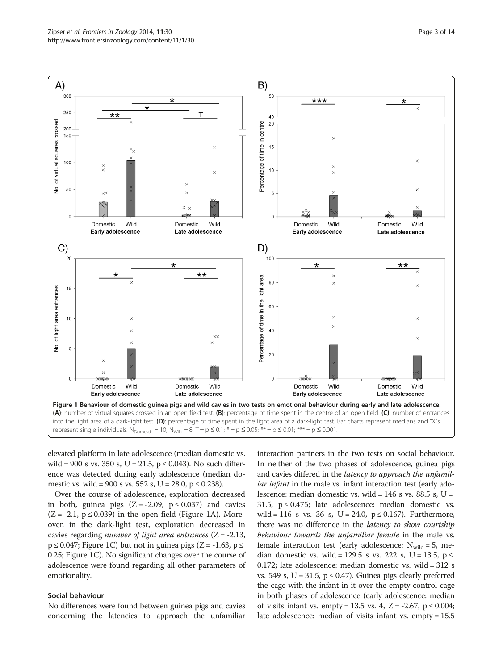<span id="page-2-0"></span>

elevated platform in late adolescence (median domestic vs. wild = 900 s vs. 350 s, U = 21.5,  $p \le 0.043$ ). No such difference was detected during early adolescence (median domestic vs. wild = 900 s vs. 552 s, U = 28.0,  $p \le 0.238$ ).

Over the course of adolescence, exploration decreased in both, guinea pigs  $(Z = -2.09, p \le 0.037)$  and cavies  $(Z = -2.1, p \le 0.039)$  in the open field (Figure 1A). Moreover, in the dark-light test, exploration decreased in cavies regarding *number of light area entrances*  $(Z = -2.13,$  $p \le 0.047$ ; Figure 1C) but not in guinea pigs (Z = -1.63, p  $\le$ 0.25; Figure 1C). No significant changes over the course of adolescence were found regarding all other parameters of emotionality.

#### Social behaviour

No differences were found between guinea pigs and cavies concerning the latencies to approach the unfamiliar interaction partners in the two tests on social behaviour. In neither of the two phases of adolescence, guinea pigs and cavies differed in the latency to approach the unfamiliar infant in the male vs. infant interaction test (early adolescence: median domestic vs. wild = 146 s vs. 88.5 s, U = 31.5,  $p \le 0.475$ ; late adolescence: median domestic vs. wild = 116 s vs. 36 s, U = 24.0,  $p \le 0.167$ ). Furthermore, there was no difference in the *latency to show courtship* behaviour towards the unfamiliar female in the male vs. female interaction test (early adolescence:  $N_{\text{wild}} = 5$ , median domestic vs. wild = 129.5 s vs. 222 s, U = 13.5,  $p \le$ 0.172; late adolescence: median domestic vs. wild = 312 s vs. 549 s, U = 31.5,  $p \le 0.47$ ). Guinea pigs clearly preferred the cage with the infant in it over the empty control cage in both phases of adolescence (early adolescence: median of visits infant vs. empty = 13.5 vs. 4, Z = −2.67,  $p ≤ 0.004$ ; late adolescence: median of visits infant vs. empty = 15.5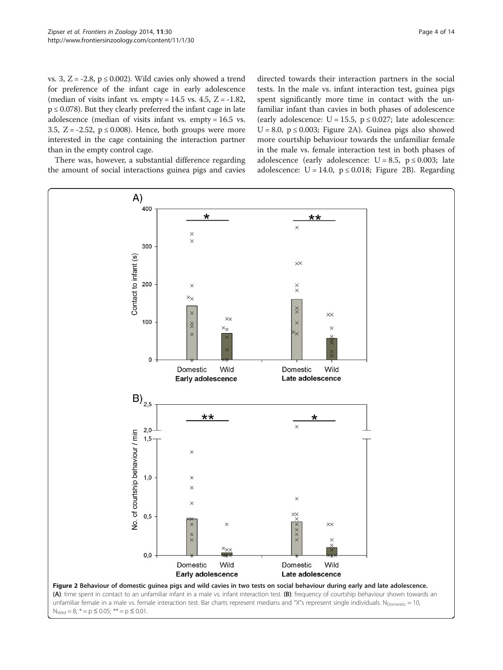<span id="page-3-0"></span>vs. 3, Z = -2.8,  $p \le 0.002$ ). Wild cavies only showed a trend for preference of the infant cage in early adolescence (median of visits infant vs. empty =  $14.5$  vs.  $4.5$ ,  $Z = -1.82$ ,  $p \le 0.078$ ). But they clearly preferred the infant cage in late adolescence (median of visits infant vs. empty = 16.5 vs. 3.5,  $Z = -2.52$ ,  $p \le 0.008$ ). Hence, both groups were more interested in the cage containing the interaction partner than in the empty control cage.

There was, however, a substantial difference regarding the amount of social interactions guinea pigs and cavies

directed towards their interaction partners in the social tests. In the male vs. infant interaction test, guinea pigs spent significantly more time in contact with the unfamiliar infant than cavies in both phases of adolescence (early adolescence:  $U = 15.5$ ,  $p \le 0.027$ ; late adolescence: U = 8.0,  $p \le 0.003$ ; Figure 2A). Guinea pigs also showed more courtship behaviour towards the unfamiliar female in the male vs. female interaction test in both phases of adolescence (early adolescence:  $U = 8.5$ ,  $p \le 0.003$ ; late adolescence:  $U = 14.0$ ,  $p \le 0.018$ ; Figure 2B). Regarding

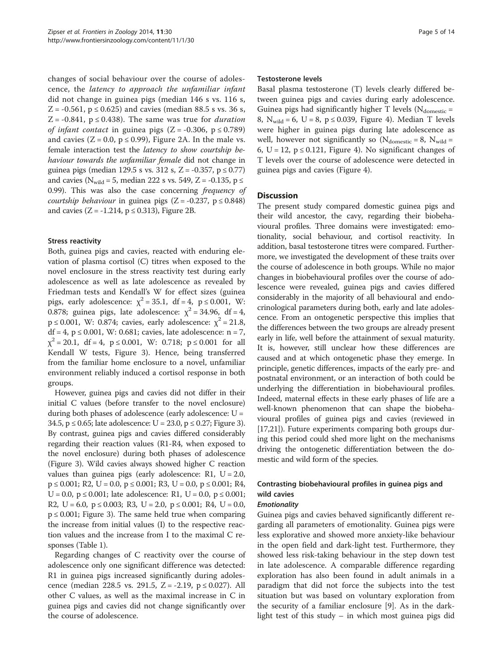changes of social behaviour over the course of adolescence, the latency to approach the unfamiliar infant did not change in guinea pigs (median 146 s vs. 116 s,  $Z = -0.561$ ,  $p \le 0.625$ ) and cavies (median 88.5 s vs. 36 s, Z =  $-0.841$ , p  $\leq$  0.438). The same was true for *duration of infant contact* in guinea pigs  $(Z = -0.306, p \le 0.789)$ and cavies ( $Z = 0.0$ ,  $p \le 0.99$ ), Figure [2A](#page-3-0). In the male vs. female interaction test the latency to show courtship behaviour towards the unfamiliar female did not change in guinea pigs (median 129.5 s vs. 312 s, Z = -0.357,  $p \le 0.77$ ) and cavies ( $N_{\text{wild}} = 5$ , median 222 s vs. 549, Z = -0.135, p  $\le$ 0.99). This was also the case concerning frequency of courtship behaviour in guinea pigs ( $Z = -0.237$ ,  $p \le 0.848$ ) and cavies ( $Z = -1.214$ ,  $p \le 0.313$ ), Figure [2](#page-3-0)B.

## Stress reactivity

Both, guinea pigs and cavies, reacted with enduring elevation of plasma cortisol (C) titres when exposed to the novel enclosure in the stress reactivity test during early adolescence as well as late adolescence as revealed by Friedman tests and Kendall's W for effect sizes (guinea pigs, early adolescence:  $\chi^2 = 35.1$ , df = 4, p ≤ 0.001, W: 0.878; guinea pigs, late adolescence:  $\chi^2$  = 34.96, df = 4,  $p \le 0.001$ , W: 0.874; cavies, early adolescence:  $\chi^2 = 21.8$ , df = 4,  $p \le 0.001$ , W: 0.681; cavies, late adolescence:  $n = 7$ ,  $\chi^2 = 20.1$ , df = 4, p ≤ 0.001, W: 0.718; p ≤ 0.001 for all Kendall W tests, Figure [3\)](#page-5-0). Hence, being transferred from the familiar home enclosure to a novel, unfamiliar environment reliably induced a cortisol response in both groups.

However, guinea pigs and cavies did not differ in their initial C values (before transfer to the novel enclosure) during both phases of adolescence (early adolescence: U = 34.5,  $p$  ≤ 0.65; late adolescence: U = 23.0,  $p$  ≤ 0.27; Figure [3](#page-5-0)). By contrast, guinea pigs and cavies differed considerably regarding their reaction values (R1-R4, when exposed to the novel enclosure) during both phases of adolescence (Figure [3\)](#page-5-0). Wild cavies always showed higher C reaction values than guinea pigs (early adolescence:  $R1$ ,  $U = 2.0$ ,  $p$  ≤ 0.001; R2, U = 0.0,  $p$  ≤ 0.001; R3, U = 0.0,  $p$  ≤ 0.001; R4, U = 0.0,  $p$  ≤ 0.001; late adolescence: R1, U = 0.0,  $p$  ≤ 0.001; R2, U = 6.0,  $p \le 0.003$ ; R3, U = 2.0,  $p \le 0.001$ ; R4, U = 0.0,  $p \leq 0.001$ ; Figure [3](#page-5-0)). The same held true when comparing the increase from initial values (I) to the respective reaction values and the increase from I to the maximal C responses (Table [1](#page-6-0)).

Regarding changes of C reactivity over the course of adolescence only one significant difference was detected: R1 in guinea pigs increased significantly during adolescence (median 228.5 vs. 291.5, Z = -2.19,  $p \le 0.027$ ). All other C values, as well as the maximal increase in C in guinea pigs and cavies did not change significantly over the course of adolescence.

#### Testosterone levels

Basal plasma testosterone (T) levels clearly differed between guinea pigs and cavies during early adolescence. Guinea pigs had significantly higher T levels ( $N_{\text{domestic}} =$ 8,  $N_{\text{wild}} = 6$ ,  $U = 8$ ,  $p \le 0.039$ , Figure [4](#page-7-0)). Median T levels were higher in guinea pigs during late adolescence as well, however not significantly so  $(N_{\text{domestic}} = 8, N_{\text{wild}} =$ 6, U = 12,  $p \le 0.121$ , Figure [4](#page-7-0)). No significant changes of T levels over the course of adolescence were detected in guinea pigs and cavies (Figure [4](#page-7-0)).

## **Discussion**

The present study compared domestic guinea pigs and their wild ancestor, the cavy, regarding their biobehavioural profiles. Three domains were investigated: emotionality, social behaviour, and cortisol reactivity. In addition, basal testosterone titres were compared. Furthermore, we investigated the development of these traits over the course of adolescence in both groups. While no major changes in biobehavioural profiles over the course of adolescence were revealed, guinea pigs and cavies differed considerably in the majority of all behavioural and endocrinological parameters during both, early and late adolescence. From an ontogenetic perspective this implies that the differences between the two groups are already present early in life, well before the attainment of sexual maturity. It is, however, still unclear how these differences are caused and at which ontogenetic phase they emerge. In principle, genetic differences, impacts of the early pre- and postnatal environment, or an interaction of both could be underlying the differentiation in biobehavioural profiles. Indeed, maternal effects in these early phases of life are a well-known phenomenon that can shape the biobehavioural profiles of guinea pigs and cavies (reviewed in [[17,21](#page-12-0)]). Future experiments comparing both groups during this period could shed more light on the mechanisms driving the ontogenetic differentiation between the domestic and wild form of the species.

# Contrasting biobehavioural profiles in guinea pigs and wild cavies

#### **Emotionality**

Guinea pigs and cavies behaved significantly different regarding all parameters of emotionality. Guinea pigs were less explorative and showed more anxiety-like behaviour in the open field and dark-light test. Furthermore, they showed less risk-taking behaviour in the step down test in late adolescence. A comparable difference regarding exploration has also been found in adult animals in a paradigm that did not force the subjects into the test situation but was based on voluntary exploration from the security of a familiar enclosure [\[9](#page-12-0)]. As in the darklight test of this study – in which most guinea pigs did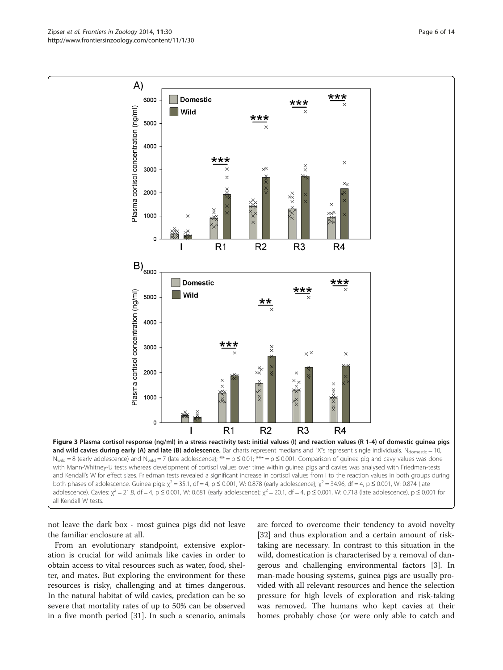not leave the dark box - most guinea pigs did not leave the familiar enclosure at all.

From an evolutionary standpoint, extensive exploration is crucial for wild animals like cavies in order to obtain access to vital resources such as water, food, shelter, and mates. But exploring the environment for these resources is risky, challenging and at times dangerous. In the natural habitat of wild cavies, predation can be so severe that mortality rates of up to 50% can be observed in a five month period [\[31\]](#page-12-0). In such a scenario, animals are forced to overcome their tendency to avoid novelty [[32\]](#page-12-0) and thus exploration and a certain amount of risktaking are necessary. In contrast to this situation in the wild, domestication is characterised by a removal of dangerous and challenging environmental factors [[3](#page-12-0)]. In man-made housing systems, guinea pigs are usually provided with all relevant resources and hence the selection pressure for high levels of exploration and risk-taking was removed. The humans who kept cavies at their homes probably chose (or were only able to catch and

<span id="page-5-0"></span>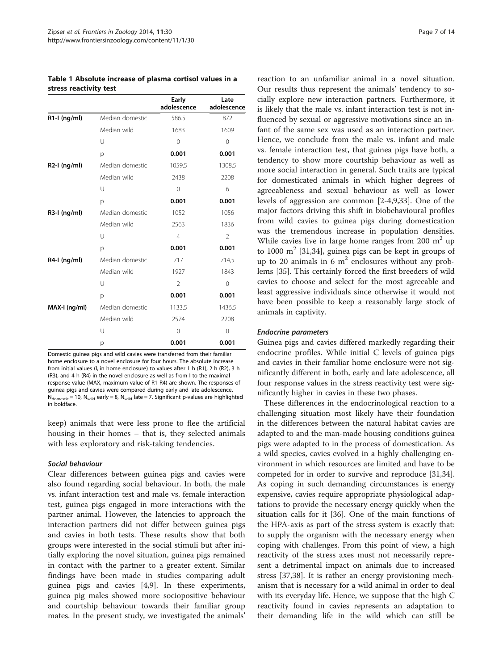|                |                 | Early<br>adolescence | Late<br>adolescence |
|----------------|-----------------|----------------------|---------------------|
| $R1-I$ (ng/ml) | Median domestic | 586.5                | 872                 |
|                | Median wild     | 1683                 | 1609                |
|                | U               | $\mathbf 0$          | $\mathbf{0}$        |
|                | p               | 0.001                | 0.001               |
| $R2-I$ (ng/ml) | Median domestic | 1059.5               | 1308,5              |
|                | Median wild     | 2438                 | 2208                |
|                | U               | 0                    | 6                   |
|                | p               | 0.001                | 0.001               |
| $R3-I$ (ng/ml) | Median domestic | 1052                 | 1056                |
|                | Median wild     | 2563                 | 1836                |
|                | U               | $\overline{4}$       | $\overline{2}$      |
|                | p               | 0.001                | 0.001               |
| R4-I (ng/ml)   | Median domestic | 717                  | 714,5               |
|                | Median wild     | 1927                 | 1843                |
|                | U               | $\mathfrak{D}$       | $\mathbf 0$         |
|                | p               | 0.001                | 0.001               |
| MAX-I (ng/ml)  | Median domestic | 1133.5               | 1436.5              |
|                | Median wild     | 2574                 | 2208                |
|                | U               | 0                    | $\mathbf 0$         |
|                | р               | 0.001                | 0.001               |

<span id="page-6-0"></span>Table 1 Absolute increase of plasma cortisol values in a stress reactivity test

Domestic guinea pigs and wild cavies were transferred from their familiar home enclosure to a novel enclosure for four hours. The absolute increase from initial values (I, in home enclosure) to values after 1 h (R1), 2 h (R2), 3 h (R3), and 4 h (R4) in the novel enclosure as well as from I to the maximal response value (MAX, maximum value of R1-R4) are shown. The responses of guinea pigs and cavies were compared during early and late adolescence.  $N_{domestic} = 10$ ,  $N_{wild}$  early = 8,  $N_{wild}$  late = 7. Significant p-values are highlighted in boldface.

keep) animals that were less prone to flee the artificial housing in their homes – that is, they selected animals with less exploratory and risk-taking tendencies.

#### Social behaviour

Clear differences between guinea pigs and cavies were also found regarding social behaviour. In both, the male vs. infant interaction test and male vs. female interaction test, guinea pigs engaged in more interactions with the partner animal. However, the latencies to approach the interaction partners did not differ between guinea pigs and cavies in both tests. These results show that both groups were interested in the social stimuli but after initially exploring the novel situation, guinea pigs remained in contact with the partner to a greater extent. Similar findings have been made in studies comparing adult guinea pigs and cavies [[4,9\]](#page-12-0). In these experiments, guinea pig males showed more sociopositive behaviour and courtship behaviour towards their familiar group mates. In the present study, we investigated the animals'

reaction to an unfamiliar animal in a novel situation. Our results thus represent the animals' tendency to socially explore new interaction partners. Furthermore, it is likely that the male vs. infant interaction test is not influenced by sexual or aggressive motivations since an infant of the same sex was used as an interaction partner. Hence, we conclude from the male vs. infant and male vs. female interaction test, that guinea pigs have both, a tendency to show more courtship behaviour as well as more social interaction in general. Such traits are typical for domesticated animals in which higher degrees of agreeableness and sexual behaviour as well as lower levels of aggression are common [\[2](#page-12-0)-[4,9,33\]](#page-12-0). One of the major factors driving this shift in biobehavioural profiles from wild cavies to guinea pigs during domestication was the tremendous increase in population densities. While cavies live in large home ranges from 200  $m<sup>2</sup>$  up to 1000  $m^2$  [\[31,34](#page-12-0)], guinea pigs can be kept in groups of up to 20 animals in 6  $m<sup>2</sup>$  enclosures without any problems [\[35\]](#page-12-0). This certainly forced the first breeders of wild cavies to choose and select for the most agreeable and least aggressive individuals since otherwise it would not have been possible to keep a reasonably large stock of animals in captivity.

#### Endocrine parameters

Guinea pigs and cavies differed markedly regarding their endocrine profiles. While initial C levels of guinea pigs and cavies in their familiar home enclosure were not significantly different in both, early and late adolescence, all four response values in the stress reactivity test were significantly higher in cavies in these two phases.

These differences in the endocrinological reaction to a challenging situation most likely have their foundation in the differences between the natural habitat cavies are adapted to and the man-made housing conditions guinea pigs were adapted to in the process of domestication. As a wild species, cavies evolved in a highly challenging environment in which resources are limited and have to be competed for in order to survive and reproduce [\[31,34](#page-12-0)]. As coping in such demanding circumstances is energy expensive, cavies require appropriate physiological adaptations to provide the necessary energy quickly when the situation calls for it [\[36](#page-12-0)]. One of the main functions of the HPA-axis as part of the stress system is exactly that: to supply the organism with the necessary energy when coping with challenges. From this point of view, a high reactivity of the stress axes must not necessarily represent a detrimental impact on animals due to increased stress [\[37,38\]](#page-12-0). It is rather an energy provisioning mechanism that is necessary for a wild animal in order to deal with its everyday life. Hence, we suppose that the high C reactivity found in cavies represents an adaptation to their demanding life in the wild which can still be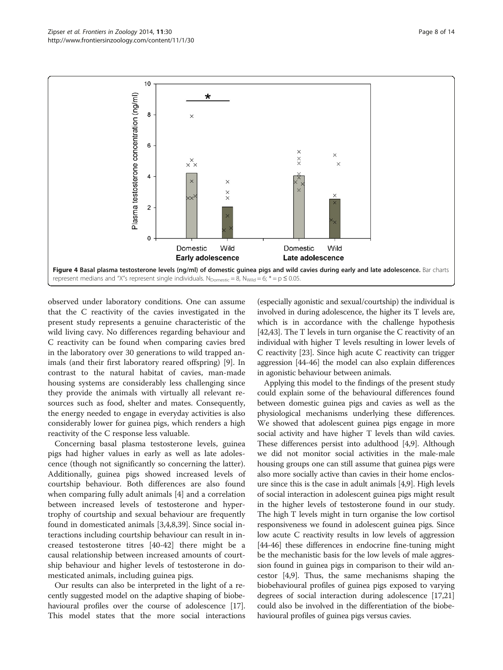<span id="page-7-0"></span>

Figure 4 Basal plasma testosterone levels (ng/ml) of domestic guinea pigs and wild cavies during early and late adolescence. Bar charts represent medians and "X"s represent single individuals.  $N_{Domestic} = 8$ ,  $N_{Wild} = 6$ ;  $* = p \le 0.05$ .

observed under laboratory conditions. One can assume that the C reactivity of the cavies investigated in the present study represents a genuine characteristic of the wild living cavy. No differences regarding behaviour and C reactivity can be found when comparing cavies bred in the laboratory over 30 generations to wild trapped animals (and their first laboratory reared offspring) [[9\]](#page-12-0). In contrast to the natural habitat of cavies, man-made housing systems are considerably less challenging since they provide the animals with virtually all relevant resources such as food, shelter and mates. Consequently, the energy needed to engage in everyday activities is also considerably lower for guinea pigs, which renders a high reactivity of the C response less valuable.

Concerning basal plasma testosterone levels, guinea pigs had higher values in early as well as late adolescence (though not significantly so concerning the latter). Additionally, guinea pigs showed increased levels of courtship behaviour. Both differences are also found when comparing fully adult animals [[4\]](#page-12-0) and a correlation between increased levels of testosterone and hypertrophy of courtship and sexual behaviour are frequently found in domesticated animals [\[3,4,8,39](#page-12-0)]. Since social interactions including courtship behaviour can result in increased testosterone titres [[40-42](#page-12-0)] there might be a causal relationship between increased amounts of courtship behaviour and higher levels of testosterone in domesticated animals, including guinea pigs.

Our results can also be interpreted in the light of a recently suggested model on the adaptive shaping of biobehavioural profiles over the course of adolescence [[17](#page-12-0)]. This model states that the more social interactions

(especially agonistic and sexual/courtship) the individual is involved in during adolescence, the higher its T levels are, which is in accordance with the challenge hypothesis [[42,43](#page-12-0)]. The T levels in turn organise the C reactivity of an individual with higher T levels resulting in lower levels of C reactivity [\[23\]](#page-12-0). Since high acute C reactivity can trigger aggression [\[44](#page-12-0)[-46\]](#page-13-0) the model can also explain differences in agonistic behaviour between animals.

Applying this model to the findings of the present study could explain some of the behavioural differences found between domestic guinea pigs and cavies as well as the physiological mechanisms underlying these differences. We showed that adolescent guinea pigs engage in more social activity and have higher T levels than wild cavies. These differences persist into adulthood [[4,9](#page-12-0)]. Although we did not monitor social activities in the male-male housing groups one can still assume that guinea pigs were also more socially active than cavies in their home enclosure since this is the case in adult animals [[4,9](#page-12-0)]. High levels of social interaction in adolescent guinea pigs might result in the higher levels of testosterone found in our study. The high T levels might in turn organise the low cortisol responsiveness we found in adolescent guinea pigs. Since low acute C reactivity results in low levels of aggression [[44](#page-12-0)-[46\]](#page-13-0) these differences in endocrine fine-tuning might be the mechanistic basis for the low levels of male aggression found in guinea pigs in comparison to their wild ancestor [[4](#page-12-0),[9](#page-12-0)]. Thus, the same mechanisms shaping the biobehavioural profiles of guinea pigs exposed to varying degrees of social interaction during adolescence [\[17,21](#page-12-0)] could also be involved in the differentiation of the biobehavioural profiles of guinea pigs versus cavies.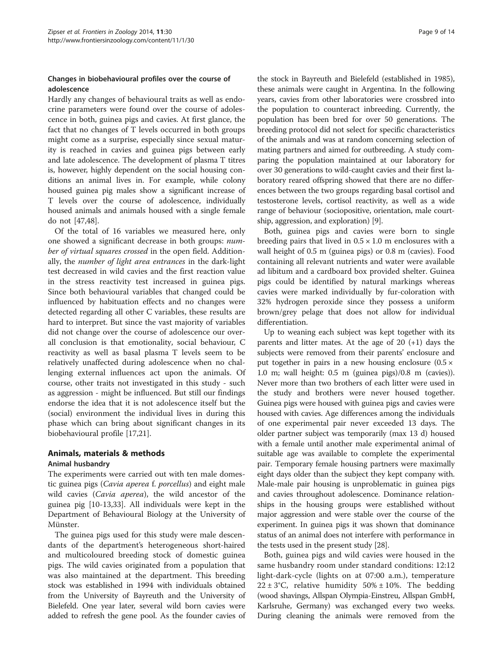# Changes in biobehavioural profiles over the course of adolescence

Hardly any changes of behavioural traits as well as endocrine parameters were found over the course of adolescence in both, guinea pigs and cavies. At first glance, the fact that no changes of T levels occurred in both groups might come as a surprise, especially since sexual maturity is reached in cavies and guinea pigs between early and late adolescence. The development of plasma T titres is, however, highly dependent on the social housing conditions an animal lives in. For example, while colony housed guinea pig males show a significant increase of T levels over the course of adolescence, individually housed animals and animals housed with a single female do not [[47](#page-13-0),[48](#page-13-0)].

Of the total of 16 variables we measured here, only one showed a significant decrease in both groups: number of virtual squares crossed in the open field. Additionally, the number of light area entrances in the dark-light test decreased in wild cavies and the first reaction value in the stress reactivity test increased in guinea pigs. Since both behavioural variables that changed could be influenced by habituation effects and no changes were detected regarding all other C variables, these results are hard to interpret. But since the vast majority of variables did not change over the course of adolescence our overall conclusion is that emotionality, social behaviour, C reactivity as well as basal plasma T levels seem to be relatively unaffected during adolescence when no challenging external influences act upon the animals. Of course, other traits not investigated in this study - such as aggression - might be influenced. But still our findings endorse the idea that it is not adolescence itself but the (social) environment the individual lives in during this phase which can bring about significant changes in its biobehavioural profile [\[17,21\]](#page-12-0).

# Animals, materials & methods

# Animal husbandry

The experiments were carried out with ten male domestic guinea pigs (Cavia aperea f. porcellus) and eight male wild cavies (*Cavia aperea*), the wild ancestor of the guinea pig [\[10](#page-12-0)-[13,33\]](#page-12-0). All individuals were kept in the Department of Behavioural Biology at the University of Münster.

The guinea pigs used for this study were male descendants of the department's heterogeneous short-haired and multicoloured breeding stock of domestic guinea pigs. The wild cavies originated from a population that was also maintained at the department. This breeding stock was established in 1994 with individuals obtained from the University of Bayreuth and the University of Bielefeld. One year later, several wild born cavies were added to refresh the gene pool. As the founder cavies of

the stock in Bayreuth and Bielefeld (established in 1985), these animals were caught in Argentina. In the following years, cavies from other laboratories were crossbred into the population to counteract inbreeding. Currently, the population has been bred for over 50 generations. The breeding protocol did not select for specific characteristics of the animals and was at random concerning selection of mating partners and aimed for outbreeding. A study comparing the population maintained at our laboratory for over 30 generations to wild-caught cavies and their first laboratory reared offspring showed that there are no differences between the two groups regarding basal cortisol and testosterone levels, cortisol reactivity, as well as a wide range of behaviour (sociopositive, orientation, male courtship, aggression, and exploration) [[9](#page-12-0)].

Both, guinea pigs and cavies were born to single breeding pairs that lived in  $0.5 \times 1.0$  m enclosures with a wall height of 0.5 m (guinea pigs) or 0.8 m (cavies). Food containing all relevant nutrients and water were available ad libitum and a cardboard box provided shelter. Guinea pigs could be identified by natural markings whereas cavies were marked individually by fur-coloration with 32% hydrogen peroxide since they possess a uniform brown/grey pelage that does not allow for individual differentiation.

Up to weaning each subject was kept together with its parents and litter mates. At the age of 20 (+1) days the subjects were removed from their parents' enclosure and put together in pairs in a new housing enclosure  $(0.5 \times$ 1.0 m; wall height: 0.5 m (guinea pigs)/0.8 m (cavies)). Never more than two brothers of each litter were used in the study and brothers were never housed together. Guinea pigs were housed with guinea pigs and cavies were housed with cavies. Age differences among the individuals of one experimental pair never exceeded 13 days. The older partner subject was temporarily (max 13 d) housed with a female until another male experimental animal of suitable age was available to complete the experimental pair. Temporary female housing partners were maximally eight days older than the subject they kept company with. Male-male pair housing is unproblematic in guinea pigs and cavies throughout adolescence. Dominance relationships in the housing groups were established without major aggression and were stable over the course of the experiment. In guinea pigs it was shown that dominance status of an animal does not interfere with performance in the tests used in the present study [\[28\]](#page-12-0).

Both, guinea pigs and wild cavies were housed in the same husbandry room under standard conditions: 12:12 light-dark-cycle (lights on at 07:00 a.m.), temperature  $22 \pm 3$ °C, relative humidity  $50\% \pm 10\%$ . The bedding (wood shavings, Allspan Olympia-Einstreu, Allspan GmbH, Karlsruhe, Germany) was exchanged every two weeks. During cleaning the animals were removed from the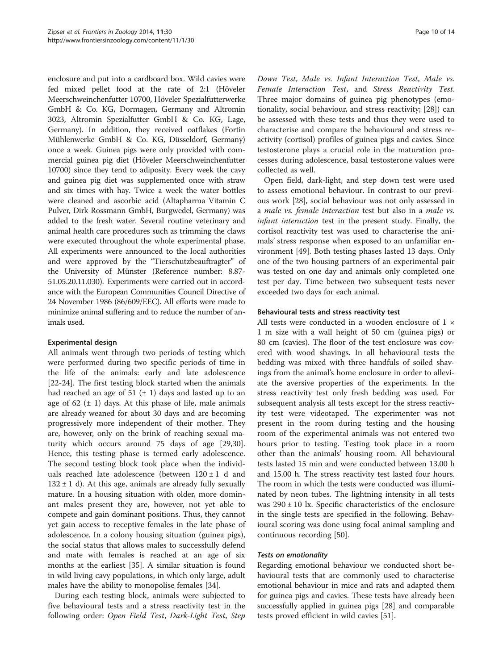enclosure and put into a cardboard box. Wild cavies were fed mixed pellet food at the rate of 2:1 (Höveler Meerschweinchenfutter 10700, Höveler Spezialfutterwerke GmbH & Co. KG, Dormagen, Germany and Altromin 3023, Altromin Spezialfutter GmbH & Co. KG, Lage, Germany). In addition, they received oatflakes (Fortin Mühlenwerke GmbH & Co. KG, Düsseldorf, Germany) once a week. Guinea pigs were only provided with commercial guinea pig diet (Höveler Meerschweinchenfutter 10700) since they tend to adiposity. Every week the cavy and guinea pig diet was supplemented once with straw and six times with hay. Twice a week the water bottles were cleaned and ascorbic acid (Altapharma Vitamin C Pulver, Dirk Rossmann GmbH, Burgwedel, Germany) was added to the fresh water. Several routine veterinary and animal health care procedures such as trimming the claws were executed throughout the whole experimental phase. All experiments were announced to the local authorities and were approved by the "Tierschutzbeauftragter" of the University of Münster (Reference number: 8.87- 51.05.20.11.030). Experiments were carried out in accordance with the European Communities Council Directive of 24 November 1986 (86/609/EEC). All efforts were made to minimize animal suffering and to reduce the number of animals used.

# Experimental design

All animals went through two periods of testing which were performed during two specific periods of time in the life of the animals: early and late adolescence [[22-24](#page-12-0)]. The first testing block started when the animals had reached an age of  $51$  ( $\pm$  1) days and lasted up to an age of  $62$  ( $\pm$  1) days. At this phase of life, male animals are already weaned for about 30 days and are becoming progressively more independent of their mother. They are, however, only on the brink of reaching sexual maturity which occurs around 75 days of age [\[29,30](#page-12-0)]. Hence, this testing phase is termed early adolescence. The second testing block took place when the individuals reached late adolescence (between  $120 \pm 1$  d and  $132 \pm 1$  d). At this age, animals are already fully sexually mature. In a housing situation with older, more dominant males present they are, however, not yet able to compete and gain dominant positions. Thus, they cannot yet gain access to receptive females in the late phase of adolescence. In a colony housing situation (guinea pigs), the social status that allows males to successfully defend and mate with females is reached at an age of six months at the earliest [[35](#page-12-0)]. A similar situation is found in wild living cavy populations, in which only large, adult males have the ability to monopolise females [\[34\]](#page-12-0).

During each testing block, animals were subjected to five behavioural tests and a stress reactivity test in the following order: Open Field Test, Dark-Light Test, Step Down Test, Male vs. Infant Interaction Test, Male vs. Female Interaction Test, and Stress Reactivity Test. Three major domains of guinea pig phenotypes (emotionality, social behaviour, and stress reactivity; [[28\]](#page-12-0)) can be assessed with these tests and thus they were used to characterise and compare the behavioural and stress reactivity (cortisol) profiles of guinea pigs and cavies. Since testosterone plays a crucial role in the maturation processes during adolescence, basal testosterone values were collected as well.

Open field, dark-light, and step down test were used to assess emotional behaviour. In contrast to our previous work [\[28](#page-12-0)], social behaviour was not only assessed in a male vs. female interaction test but also in a male vs. infant interaction test in the present study. Finally, the cortisol reactivity test was used to characterise the animals' stress response when exposed to an unfamiliar environment [[49](#page-13-0)]. Both testing phases lasted 13 days. Only one of the two housing partners of an experimental pair was tested on one day and animals only completed one test per day. Time between two subsequent tests never exceeded two days for each animal.

#### Behavioural tests and stress reactivity test

All tests were conducted in a wooden enclosure of 1  $\times$ 1 m size with a wall height of 50 cm (guinea pigs) or 80 cm (cavies). The floor of the test enclosure was covered with wood shavings. In all behavioural tests the bedding was mixed with three handfuls of soiled shavings from the animal's home enclosure in order to alleviate the aversive properties of the experiments. In the stress reactivity test only fresh bedding was used. For subsequent analysis all tests except for the stress reactivity test were videotaped. The experimenter was not present in the room during testing and the housing room of the experimental animals was not entered two hours prior to testing. Testing took place in a room other than the animals' housing room. All behavioural tests lasted 15 min and were conducted between 13.00 h and 15.00 h. The stress reactivity test lasted four hours. The room in which the tests were conducted was illuminated by neon tubes. The lightning intensity in all tests was  $290 \pm 10$  lx. Specific characteristics of the enclosure in the single tests are specified in the following. Behavioural scoring was done using focal animal sampling and continuous recording [[50](#page-13-0)].

#### Tests on emotionality

Regarding emotional behaviour we conducted short behavioural tests that are commonly used to characterise emotional behaviour in mice and rats and adapted them for guinea pigs and cavies. These tests have already been successfully applied in guinea pigs [\[28](#page-12-0)] and comparable tests proved efficient in wild cavies [[51\]](#page-13-0).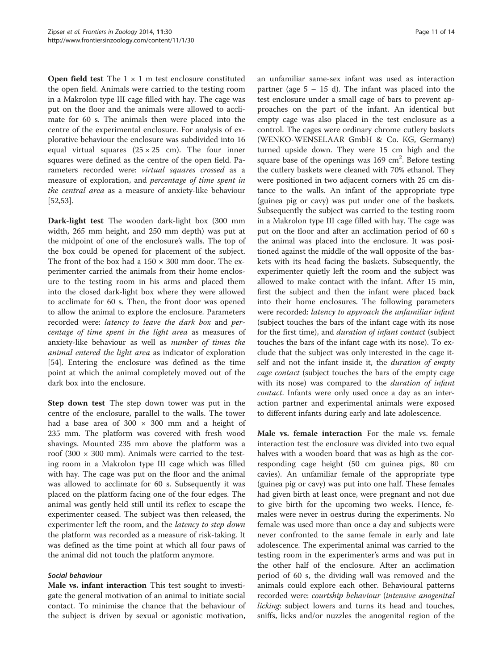**Open field test** The  $1 \times 1$  m test enclosure constituted the open field. Animals were carried to the testing room in a Makrolon type III cage filled with hay. The cage was put on the floor and the animals were allowed to acclimate for 60 s. The animals then were placed into the centre of the experimental enclosure. For analysis of explorative behaviour the enclosure was subdivided into 16 equal virtual squares  $(25 \times 25 \text{ cm})$ . The four inner squares were defined as the centre of the open field. Parameters recorded were: virtual squares crossed as a measure of exploration, and percentage of time spent in the central area as a measure of anxiety-like behaviour [[52,53\]](#page-13-0).

Dark-light test The wooden dark-light box (300 mm width, 265 mm height, and 250 mm depth) was put at the midpoint of one of the enclosure's walls. The top of the box could be opened for placement of the subject. The front of the box had a  $150 \times 300$  mm door. The experimenter carried the animals from their home enclosure to the testing room in his arms and placed them into the closed dark-light box where they were allowed to acclimate for 60 s. Then, the front door was opened to allow the animal to explore the enclosure. Parameters recorded were: latency to leave the dark box and percentage of time spent in the light area as measures of anxiety-like behaviour as well as number of times the animal entered the light area as indicator of exploration [[54\]](#page-13-0). Entering the enclosure was defined as the time point at which the animal completely moved out of the dark box into the enclosure.

Step down test The step down tower was put in the centre of the enclosure, parallel to the walls. The tower had a base area of  $300 \times 300$  mm and a height of 235 mm. The platform was covered with fresh wood shavings. Mounted 235 mm above the platform was a roof (300  $\times$  300 mm). Animals were carried to the testing room in a Makrolon type III cage which was filled with hay. The cage was put on the floor and the animal was allowed to acclimate for 60 s. Subsequently it was placed on the platform facing one of the four edges. The animal was gently held still until its reflex to escape the experimenter ceased. The subject was then released, the experimenter left the room, and the *latency to step down* the platform was recorded as a measure of risk-taking. It was defined as the time point at which all four paws of the animal did not touch the platform anymore.

# Social behaviour

Male vs. infant interaction This test sought to investigate the general motivation of an animal to initiate social contact. To minimise the chance that the behaviour of the subject is driven by sexual or agonistic motivation,

an unfamiliar same-sex infant was used as interaction partner (age  $5 - 15$  d). The infant was placed into the test enclosure under a small cage of bars to prevent approaches on the part of the infant. An identical but empty cage was also placed in the test enclosure as a control. The cages were ordinary chrome cutlery baskets (WENKO-WENSELAAR GmbH & Co. KG, Germany) turned upside down. They were 15 cm high and the square base of the openings was  $169 \text{ cm}^2$ . Before testing the cutlery baskets were cleaned with 70% ethanol. They were positioned in two adjacent corners with 25 cm distance to the walls. An infant of the appropriate type (guinea pig or cavy) was put under one of the baskets. Subsequently the subject was carried to the testing room in a Makrolon type III cage filled with hay. The cage was put on the floor and after an acclimation period of 60 s the animal was placed into the enclosure. It was positioned against the middle of the wall opposite of the baskets with its head facing the baskets. Subsequently, the experimenter quietly left the room and the subject was allowed to make contact with the infant. After 15 min, first the subject and then the infant were placed back into their home enclosures. The following parameters were recorded: latency to approach the unfamiliar infant (subject touches the bars of the infant cage with its nose for the first time), and duration of infant contact (subject touches the bars of the infant cage with its nose). To exclude that the subject was only interested in the cage itself and not the infant inside it, the *duration of empty* cage contact (subject touches the bars of the empty cage with its nose) was compared to the *duration of infant* contact. Infants were only used once a day as an interaction partner and experimental animals were exposed to different infants during early and late adolescence.

Male vs. female interaction For the male vs. female interaction test the enclosure was divided into two equal halves with a wooden board that was as high as the corresponding cage height (50 cm guinea pigs, 80 cm cavies). An unfamiliar female of the appropriate type (guinea pig or cavy) was put into one half. These females had given birth at least once, were pregnant and not due to give birth for the upcoming two weeks. Hence, females were never in oestrus during the experiments. No female was used more than once a day and subjects were never confronted to the same female in early and late adolescence. The experimental animal was carried to the testing room in the experimenter's arms and was put in the other half of the enclosure. After an acclimation period of 60 s, the dividing wall was removed and the animals could explore each other. Behavioural patterns recorded were: courtship behaviour (intensive anogenital *licking*: subject lowers and turns its head and touches, sniffs, licks and/or nuzzles the anogenital region of the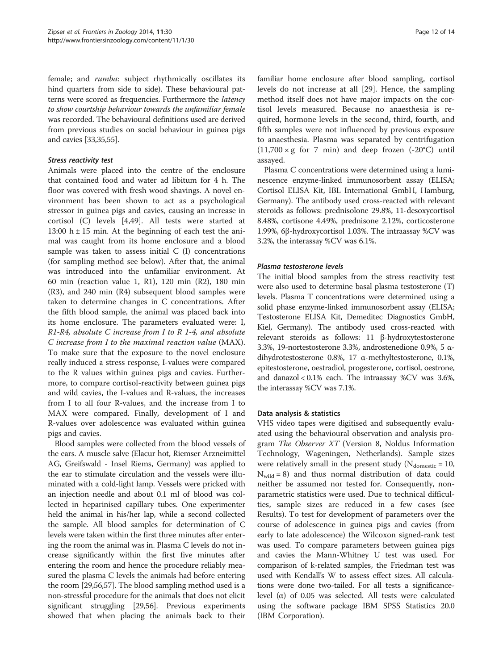female; and *rumba*: subject rhythmically oscillates its hind quarters from side to side). These behavioural patterns were scored as frequencies. Furthermore the latency to show courtship behaviour towards the unfamiliar female was recorded. The behavioural definitions used are derived from previous studies on social behaviour in guinea pigs and cavies [\[33,35](#page-12-0)[,55](#page-13-0)].

## Stress reactivity test

Animals were placed into the centre of the enclosure that contained food and water ad libitum for 4 h. The floor was covered with fresh wood shavings. A novel environment has been shown to act as a psychological stressor in guinea pigs and cavies, causing an increase in cortisol (C) levels [\[4](#page-12-0)[,49](#page-13-0)]. All tests were started at 13:00 h  $\pm$  15 min. At the beginning of each test the animal was caught from its home enclosure and a blood sample was taken to assess initial  $C$  (I) concentrations (for sampling method see below). After that, the animal was introduced into the unfamiliar environment. At 60 min (reaction value 1, R1), 120 min (R2), 180 min (R3), and 240 min (R4) subsequent blood samples were taken to determine changes in C concentrations. After the fifth blood sample, the animal was placed back into its home enclosure. The parameters evaluated were: I,  $R1-R4$ , absolute C increase from I to R 1-4, and absolute C increase from I to the maximal reaction value (MAX). To make sure that the exposure to the novel enclosure really induced a stress response, I-values were compared to the R values within guinea pigs and cavies. Furthermore, to compare cortisol-reactivity between guinea pigs and wild cavies, the I-values and R-values, the increases from I to all four R-values, and the increase from I to MAX were compared. Finally, development of I and R-values over adolescence was evaluated within guinea pigs and cavies.

Blood samples were collected from the blood vessels of the ears. A muscle salve (Elacur hot, Riemser Arzneimittel AG, Greifswald - Insel Riems, Germany) was applied to the ear to stimulate circulation and the vessels were illuminated with a cold-light lamp. Vessels were pricked with an injection needle and about 0.1 ml of blood was collected in heparinised capillary tubes. One experimenter held the animal in his/her lap, while a second collected the sample. All blood samples for determination of C levels were taken within the first three minutes after entering the room the animal was in. Plasma C levels do not increase significantly within the first five minutes after entering the room and hence the procedure reliably measured the plasma C levels the animals had before entering the room [\[29](#page-12-0)[,56,57](#page-13-0)]. The blood sampling method used is a non-stressful procedure for the animals that does not elicit significant struggling [\[29](#page-12-0)[,56\]](#page-13-0). Previous experiments showed that when placing the animals back to their familiar home enclosure after blood sampling, cortisol levels do not increase at all [[29](#page-12-0)]. Hence, the sampling method itself does not have major impacts on the cortisol levels measured. Because no anaesthesia is required, hormone levels in the second, third, fourth, and fifth samples were not influenced by previous exposure to anaesthesia. Plasma was separated by centrifugation  $(11,700 \times g$  for 7 min) and deep frozen (-20°C) until assayed.

Plasma C concentrations were determined using a luminescence enzyme-linked immunosorbent assay (ELISA; Cortisol ELISA Kit, IBL International GmbH, Hamburg, Germany). The antibody used cross-reacted with relevant steroids as follows: prednisolone 29.8%, 11-desoxycortisol 8.48%, cortisone 4.49%, prednisone 2.12%, corticosterone 1.99%, 6β-hydroxycortisol 1.03%. The intraassay %CV was 3.2%, the interassay %CV was 6.1%.

# Plasma testosterone levels

The initial blood samples from the stress reactivity test were also used to determine basal plasma testosterone (T) levels. Plasma T concentrations were determined using a solid phase enzyme-linked immunosorbent assay (ELISA; Testosterone ELISA Kit, Demeditec Diagnostics GmbH, Kiel, Germany). The antibody used cross-reacted with relevant steroids as follows: 11 β-hydroxytestosterone 3.3%, 19-nortestosterone 3.3%, androstenedione 0.9%, 5 αdihydrotestosterone 0.8%, 17 α-methyltestosterone, 0.1%, epitestosterone, oestradiol, progesterone, cortisol, oestrone, and danazol < 0.1% each. The intraassay %CV was 3.6%, the interassay %CV was 7.1%.

# Data analysis & statistics

VHS video tapes were digitised and subsequently evaluated using the behavioural observation and analysis program The Observer XT (Version 8, Noldus Information Technology, Wageningen, Netherlands). Sample sizes were relatively small in the present study ( $N_{\text{domestic}} = 10$ ,  $N_{\text{wild}} = 8$ ) and thus normal distribution of data could neither be assumed nor tested for. Consequently, nonparametric statistics were used. Due to technical difficulties, sample sizes are reduced in a few cases (see [Results\)](#page-1-0). To test for development of parameters over the course of adolescence in guinea pigs and cavies (from early to late adolescence) the Wilcoxon signed-rank test was used. To compare parameters between guinea pigs and cavies the Mann-Whitney U test was used. For comparison of k-related samples, the Friedman test was used with Kendall's W to assess effect sizes. All calculations were done two-tailed. For all tests a significancelevel (α) of 0.05 was selected. All tests were calculated using the software package IBM SPSS Statistics 20.0 (IBM Corporation).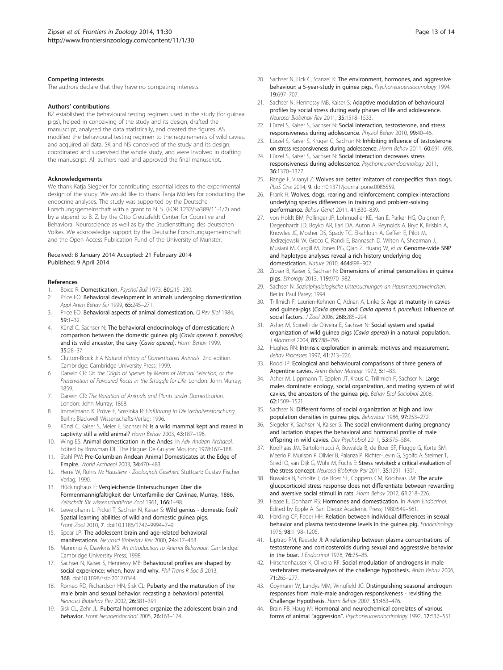#### <span id="page-12-0"></span>Competing interests

The authors declare that they have no competing interests.

#### Authors' contributions

BZ established the behavioural testing regimen used in the study (for guinea pigs), helped in conceiving of the study and its design, drafted the manuscript, analysed the data statistically, and created the figures. AS modified the behavioural testing regimen to the requirements of wild cavies, and acquired all data. SK and NS conceived of the study and its design, coordinated and supervised the whole study, and were involved in drafting the manuscript. All authors read and approved the final manuscript.

#### Acknowledgements

We thank Katja Siegeler for contributing essential ideas to the experimental design of the study. We would like to thank Tanja Möllers for conducting the endocrine analyses. The study was supported by the Deutsche Forschungsgemeinschaft with a grant to N. S. (FOR 1232/Sa389/11-1/2) and by a stipend to B. Z. by the Otto Creutzfeldt Center for Cognitive and Behavioral Neuroscience as well as by the Studienstiftung des deutschen Volkes. We acknowledge support by the Deutsche Forschungsgemeinschaft and the Open Access Publication Fund of the University of Münster.

#### Received: 8 January 2014 Accepted: 21 February 2014 Published: 9 April 2014

#### References

- Boice R: Domestication. Psychol Bull 1973, 80:215-230.
- 2. Price EO: Behavioral development in animals undergoing domestication. Appl Anim Behav Sci 1999, 65:245–271.
- 3. Price EO: Behavioral aspects of animal domestication. Q Rev Biol 1984, 59:1–32.
- 4. Künzl C, Sachser N: The behavioral endocrinology of domestication: A comparison between the domestic guinea pig (Cavia aperea f. porcellus) and its wild ancestor, the cavy (Cavia aperea). Horm Behav 1999, 35:28–37.
- 5. Clutton-Brock J: A Natural History of Domesticated Animals. 2nd edition. Cambridge: Cambridge University Press; 1999.
- 6. Darwin CR: On the Origin of Species by Means of Natural Selection, or the Preservation of Favoured Races in the Struggle for Life. London: John Murray; 1859.
- 7. Darwin CR: The Variation of Animals and Plants under Domestication. London: John Murray; 1868.
- 8. Immelmann K, Pröve E, Sossinka R: Einführung in Die Verhaltensforschung. Berlin: Blackwell Wissenschafts-Verlag; 1996.
- 9. Künzl C, Kaiser S, Meier E, Sachser N: Is a wild mammal kept and reared in captivity still a wild animal? Horm Behav 2003, 43:187–196.
- 10. Wing ES: Animal domestication in the Andes. In Adv Andean Archaeol. Edited by Browman DL. The Hague: De Gruyter Mouton; 1978:167–188.
- 11. Stahl PW: Pre-Columbian Andean Animal Domesticates at the Edge of Empire. World Archaeol 2003, 34:470–483.
- 12. Herre W, Röhrs M: Haustiere Zoologisch Gesehen. Stuttgart: Gustav Fischer Verlag; 1990.
- 13. Hückinghaus F: Vergleichende Untersuchungen über die Formenmannigfaltigkeit der Unterfamilie der Caviinae, Murray, 1886. Zeitschrift für wissenschaftliche Zool 1961, 166:1–98.
- 14. Lewejohann L, Pickel T, Sachser N, Kaiser S: Wild genius domestic fool? Spatial learning abilities of wild and domestic guinea pigs. Front Zool 2010, 7. doi:10.1186/1742–9994–7–9.
- 15. Spear LP: The adolescent brain and age-related behavioral manifestations. Neurosci Biobehav Rev 2000, 24:417–463.
- 16. Manning A, Dawkins MS: An Introduction to Animal Behaviour. Cambridge: Cambridge University Press; 1998.
- 17. Sachser N, Kaiser S, Hennessy MB: Behavioural profiles are shaped by social experience: when, how and why. Phil Trans R Soc B 2013, 368. doi:10.1098/rstb.2012.0344.
- 18. Romeo RD, Richardson HN, Sisk CL: Puberty and the maturation of the male brain and sexual behavior: recasting a behavioral potential. Neurosci Biobehav Rev 2002, 26:381–391.
- 19. Sisk CL, Zehr JL: Pubertal hormones organize the adolescent brain and behavior. Front Neuroendocrinol 2005, 26:163–174.
- 20. Sachser N, Lick C, Stanzel K: The environment, hormones, and aggressive behaviour: a 5-year-study in guinea pigs. Psychoneuroendocrinology 1994, 19:697–707.
- 21. Sachser N, Hennessy MB, Kaiser S: Adaptive modulation of behavioural profiles by social stress during early phases of life and adolescence. Neurosci Biobehav Rev 2011, 35:1518–1533.
- 22. Lürzel S, Kaiser S, Sachser N: Social interaction, testosterone, and stress responsiveness during adolescence. Physiol Behav 2010, 99:40–46.
- 23. Lürzel S, Kaiser S, Krüger C, Sachser N: Inhibiting influence of testosterone on stress responsiveness during adolescence. Horm Behav 2011, 60:691–698. 24. Lürzel S, Kaiser S, Sachser N: Social interaction decreases stress
- responsiveness during adolescence. Psychoneuroendocrinology 2011, 36:1370–1377.
- 25. Range F, Viranyi Z: Wolves are better imitators of conspecifics than dogs. PLoS One 2014, 9. doi:10.1371/journal.pone.0086559
- 26. Frank H: Wolves, dogs, rearing and reinforcement: complex interactions underlying species differences in training and problem-solving performance. Behav Genet 2011, 41:830–839.
- 27. von Holdt BM, Pollinger JP, Lohmueller KE, Han E, Parker HG, Quignon P, Degenhardt JD, Boyko AR, Earl DA, Auton A, Reynolds A, Bryc K, Brisbin A, Knowles JC, Mosher DS, Spady TC, Elkahloun A, Geffen E, Pilot M, Jedrzejewski W, Greco C, Randi E, Bannasch D, Wilton A, Shearman J, Musiani M, Cargill M, Jones PG, Qian Z, Huang W, et al: Genome-wide SNP and haplotype analyses reveal a rich history underlying dog domestication. Nature 2010, 464:898–902.
- 28. Zipser B, Kaiser S, Sachser N: Dimensions of animal personalities in guinea pigs. Ethology 2013, 119:970–982.
- 29. Sachser N: Sozialphysiologische Untersuchungen an Hausmeerschweinchen. Berlin: Paul Parey; 1994.
- 30. Trillmich F, Laurien-Kehnen C, Adrian A, Linke S: Age at maturity in cavies and guinea-pigs (Cavia aperea and Cavia aperea f. porcellus): influence of social factors. J Zool 2006, 268:285–294.
- 31. Asher M, Spinelli de Oliveira E, Sachser N: Social system and spatial organization of wild guinea pigs (Cavia aperea) in a natural population. J Mammal 2004, 85:788–796.
- 32. Hughes RN: Intrinsic exploration in animals: motives and measurement. Behav Processes 1997, 41:213–226.
- 33. Rood JP: Ecological and behavioural comparisons of three genera of Argentine cavies. Anim Behav Monogr 1972, 5:1–83.
- 34. Asher M, Lippmann T, Epplen JT, Kraus C, Trillmich F, Sachser N: Large males dominate: ecology, social organization, and mating system of wild cavies, the ancestors of the guinea pig. Behav Ecol Sociobiol 2008, 62:1509–1521.
- 35. Sachser N: Different forms of social organization at high and low population densities in guinea pigs. Behaviour 1986, 97:253–272.
- 36. Siegeler K, Sachser N, Kaiser S: The social environment during pregnancy and lactation shapes the behavioral and hormonal profile of male offspring in wild cavies. Dev Psychobiol 2011, 53:575–584.
- 37. Koolhaas JM, Bartolomucci A, Buwalda B, de Boer SF, Flügge G, Korte SM, Meerlo P, Murison R, Olivier B, Palanza P, Richter-Levin G, Sgoifo A, Steimer T, Stiedl O, van Dijk G, Wöhr M, Fuchs E: Stress revisited: a critical evaluation of the stress concept. Neurosci Biobehav Rev 2011, 35:1291–1301.
- 38. Buwalda B, Scholte J, de Boer SF, Coppens CM, Koolhaas JM: The acute glucocorticoid stress response does not differentiate between rewarding and aversive social stimuli in rats. Horm Behav 2012, 61:218–226.
- 39. Haase E, Donham RS: Hormones and domestication. In Avian Endocrinol. Edited by Epple A. San Diego: Academic Press; 1980:549–561.
- 40. Harding CF, Feder HH: Relation between individual differences in sexual behavior and plasma testosterone levels in the guinea pig. Endocrinology 1976, 98:1198–1205.
- 41. Liptrap RM, Raeside JI: A relationship between plasma concentrations of testosterone and corticosteroids during sexual and aggresssive behavior in the boar. J Endocrinol 1978, 76:75-85.
- 42. Hirschenhauser K, Oliveira RF: Social modulation of androgens in male vertebrates: meta-analyses of the challenge hypothesis. Anim Behav 2006, 71:265–277.
- 43. Goymann W, Landys MM, Wingfield JC: Distinguishing seasonal androgen responses from male-male androgen responsiveness - revisiting the Challenge Hypothesis. Horm Behav 2007, 51:463–476.
- 44. Brain PB, Haug M: Hormonal and neurochemical correlates of various forms of animal "aggression". Psychoneuroendocrinology 1992, 17:537–551.